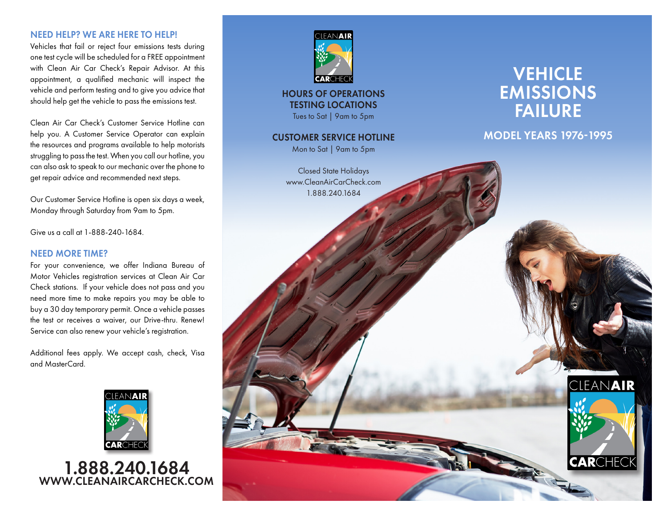### NEED HELP? WE ARE HERE TO HELP!

Vehicles that fail or reject four emissions tests during one test cycle will be scheduled for a FREE appointment with Clean Air Car Check's Repair Advisor. At this appointment, a qualified mechanic will inspect the vehicle and perform testing and to give you advice that should help get the vehicle to pass the emissions test.

Clean Air Car Check's Customer Service Hotline can help you. A Customer Service Operator can explain the resources and programs available to help motorists struggling to pass the test. When you call our hotline, you can also ask to speak to our mechanic over the phone to get repair advice and recommended next steps.

Our Customer Service Hotline is open six days a week, Monday through Saturday from 9am to 5pm.

Give us a call at 1-888-240-1684.

#### NEED MORE TIME?

For your convenience, we offer Indiana Bureau of Motor Vehicles registration services at Clean Air Car Check stations. If your vehicle does not pass and you need more time to make repairs you may be able to buy a 30 day temporary permit. Once a vehicle passes the test or receives a waiver, our Drive-thru. Renew! Service can also renew your vehicle's registration.

Additional fees apply. We accept cash, check, Visa and MasterCard.



1.888.240.1684 WWW.CLEANAIRCARCHECK.COM



HOURS OF OPERATIONS TESTING LOCATIONS Tues to Sat | 9am to 5pm

#### CUSTOMER SERVICE HOTLINE

Mon to Sat | 9am to 5pm

Closed State Holidays www.CleanAirCarCheck.com 1.888.240.1684

# **VEHICLE** EMISSIONS FAILURE

MODEL YEARS 1976-1995